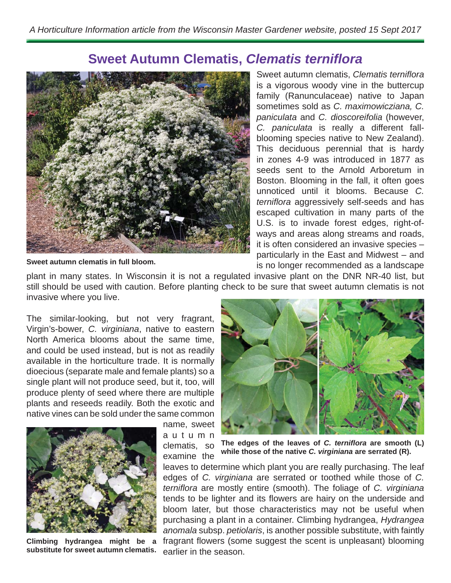## **Sweet Autumn Clematis, Clematis terniflora**



Sweet autumn clematis, *Clematis terniflora* is a vigorous woody vine in the buttercup family (Ranunculaceae) native to Japan sometimes sold as *C. maximowicziana, C. paniculata* and *C. dioscoreifolia* (however, *C. paniculata* is really a different fallblooming species native to New Zealand). This deciduous perennial that is hardy in zones 4-9 was introduced in 1877 as seeds sent to the Arnold Arboretum in Boston. Blooming in the fall, it often goes unnoticed until it blooms. Because *C. terniflora* aggressively self-seeds and has escaped cultivation in many parts of the U.S. is to invade forest edges, right-ofways and areas along streams and roads, it is often considered an invasive species – particularly in the East and Midwest – and is no longer recommended as a landscape

**Sweet autumn clematis in full bloom.**

plant in many states. In Wisconsin it is not a regulated invasive plant on the DNR NR-40 list, but still should be used with caution. Before planting check to be sure that sweet autumn clematis is not invasive where you live.

The similar-looking, but not very fragrant, Virgin's-bower, *C. virginiana*, native to eastern North America blooms about the same time, and could be used instead, but is not as readily available in the horticulture trade. It is normally dioecious (separate male and female plants) so a single plant will not produce seed, but it, too, will produce plenty of seed where there are multiple plants and reseeds readily. Both the exotic and native vines can be sold under the same common



**Climbing hydrangea might be a substitute for sweet autumn clematis.**

name, sweet a u t u m n clematis, so examine the



The edges of the leaves of *C. terniflora* are smooth (L) **while those of the native** *C. virginiana* **are serrated (R).** 

leaves to determine which plant you are really purchasing. The leaf edges of *C. virginiana* are serrated or toothed while those of *C. ternifl ora* are mostly entire (smooth). The foliage of *C. virginiana*  tends to be lighter and its flowers are hairy on the underside and bloom later, but those characteristics may not be useful when purchasing a plant in a container. Climbing hydrangea, *Hydrangea anomala* subsp. *petiolaris*, is another possible substitute, with faintly fragrant flowers (some suggest the scent is unpleasant) blooming earlier in the season.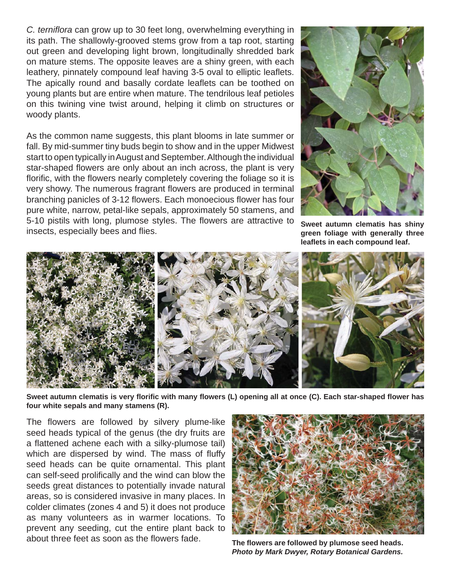*C. ternifl ora* can grow up to 30 feet long, overwhelming everything in its path. The shallowly-grooved stems grow from a tap root, starting out green and developing light brown, longitudinally shredded bark on mature stems. The opposite leaves are a shiny green, with each leathery, pinnately compound leaf having 3-5 oval to elliptic leaflets. The apically round and basally cordate leaflets can be toothed on young plants but are entire when mature. The tendrilous leaf petioles on this twining vine twist around, helping it climb on structures or woody plants.

As the common name suggests, this plant blooms in late summer or fall. By mid-summer tiny buds begin to show and in the upper Midwest start to open typically in August and September. Although the individual star-shaped flowers are only about an inch across, the plant is very florific, with the flowers nearly completely covering the foliage so it is very showy. The numerous fragrant flowers are produced in terminal branching panicles of 3-12 flowers. Each monoecious flower has four pure white, narrow, petal-like sepals, approximately 50 stamens, and 5-10 pistils with long, plumose styles. The flowers are attractive to insects, especially bees and flies.



**Sweet autumn clematis has shiny green foliage with generally three**  leaflets in each compound leaf.



**Sweet autumn clematis is very fl orifi c with many fl owers (L) opening all at once (C). Each star-shaped fl ower has four white sepals and many stamens (R).**

The flowers are followed by silvery plume-like seed heads typical of the genus (the dry fruits are a flattened achene each with a silky-plumose tail) which are dispersed by wind. The mass of fluffy seed heads can be quite ornamental. This plant can self-seed prolifically and the wind can blow the seeds great distances to potentially invade natural areas, so is considered invasive in many places. In colder climates (zones 4 and 5) it does not produce as many volunteers as in warmer locations. To prevent any seeding, cut the entire plant back to about three feet as soon as the flowers fade. **The flowers are followed by plumose seed heads.** 



*Photo by Mark Dwyer, Rotary Botanical Gardens.*